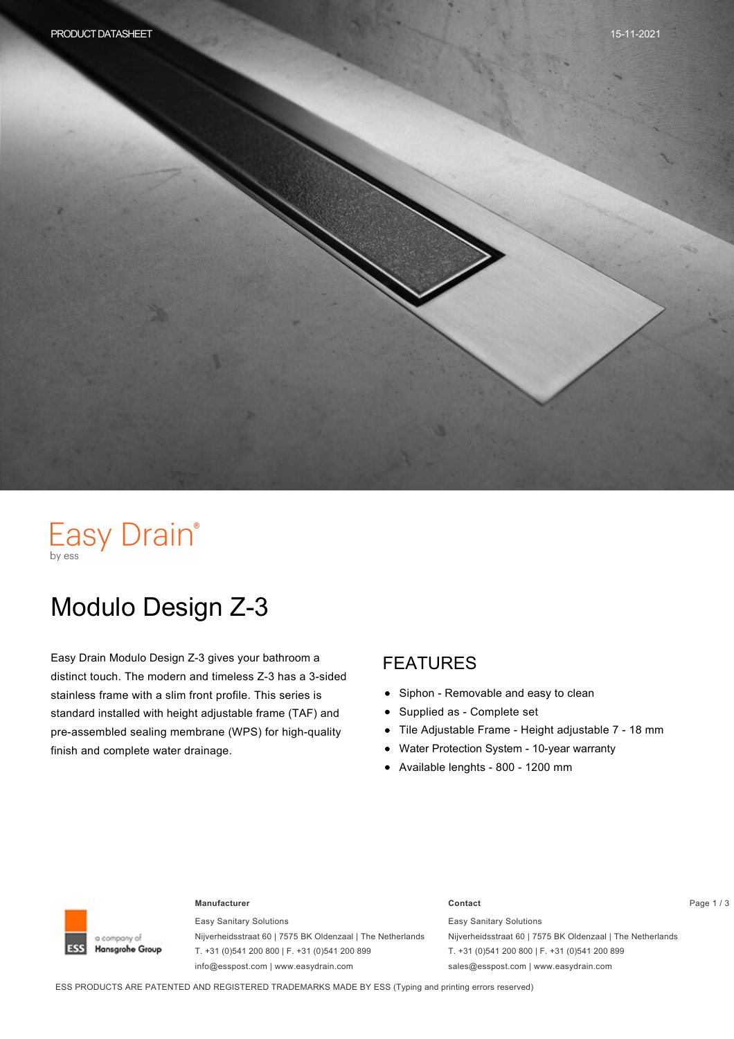# Easy Drain®

# Modulo Design Z-3

Easy Drain Modulo Design Z-3 gives your bathroom a distinct touch. The modern and timeless Z-3 has a 3-sided stainless frame with a slim front profile. This series is standard installed with height adjustable frame (TAF) and pre-assembled sealing membrane (WPS) for high-quality finish and complete water drainage.

#### FEATURES

- $\bullet$ Siphon - Removable and easy to clean
- Supplied as Complete set  $\bullet$
- Tile Adjustable Frame Height adjustable 7 18 mm  $\bullet$
- Water Protection System 10-year warranty  $\bullet$
- Available lenghts 800 1200 mm



#### **Manufacturer Contact** Page 1 / 3

Easy Sanitary Solutions Nijverheidsstraat 60 | 7575 BK Oldenzaal | The Netherlands T. +31 (0)541 200 800 | F. +31 (0)541 200 899 info@esspost.com | www.easydrain.com

Easy Sanitary Solutions Nijverheidsstraat 60 | 7575 BK Oldenzaal | The Netherlands T. +31 (0)541 200 800 | F. +31 (0)541 200 899 sales@esspost.com | www.easydrain.com

ESS PRODUCTS ARE PATENTED AND REGISTERED TRADEMARKS MADE BY ESS (Typing and printing errors reserved)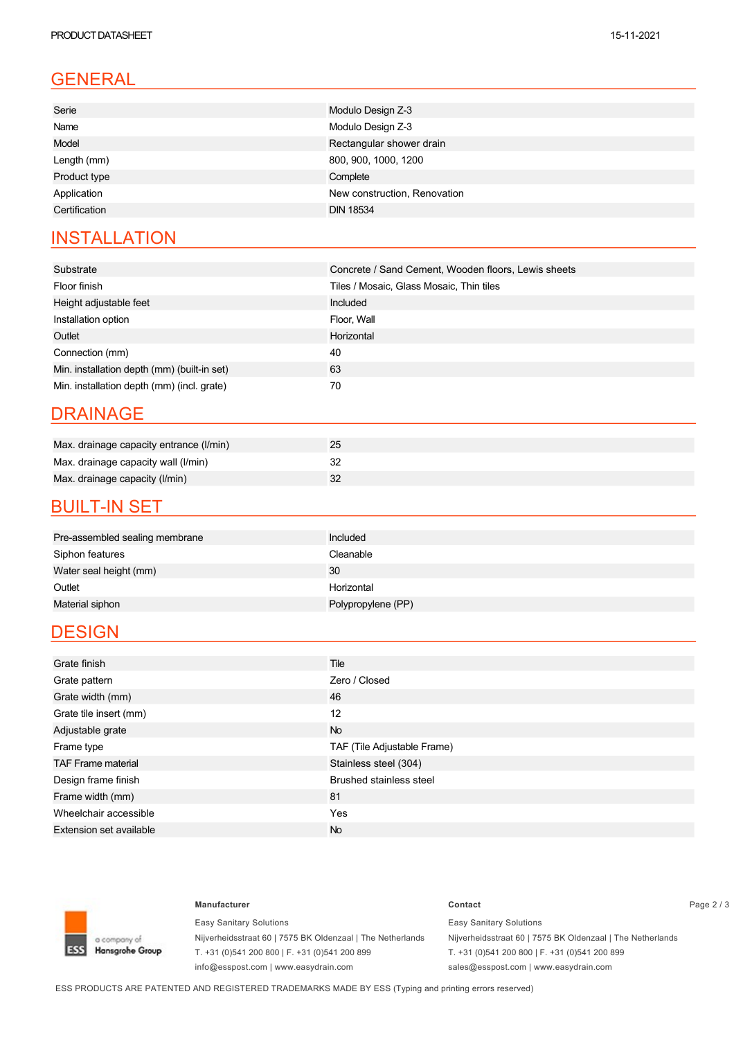### GENERAL

| Serie         | Modulo Design Z-3            |
|---------------|------------------------------|
| Name          | Modulo Design Z-3            |
| Model         | Rectangular shower drain     |
| Length (mm)   | 800, 900, 1000, 1200         |
| Product type  | Complete                     |
| Application   | New construction, Renovation |
| Certification | <b>DIN 18534</b>             |
|               |                              |

#### **INSTALLATION**

| Substrate                                   | Concrete / Sand Cement, Wooden floors, Lewis sheets |
|---------------------------------------------|-----------------------------------------------------|
| Floor finish                                | Tiles / Mosaic, Glass Mosaic, Thin tiles            |
| Height adjustable feet                      | Included                                            |
| Installation option                         | Floor, Wall                                         |
| Outlet                                      | Horizontal                                          |
| Connection (mm)                             | 40                                                  |
| Min. installation depth (mm) (built-in set) | 63                                                  |
| Min. installation depth (mm) (incl. grate)  | 70                                                  |

#### DRAINAGE

| Max. drainage capacity entrance (I/min) |  |
|-----------------------------------------|--|
| Max. drainage capacity wall (I/min)     |  |
| Max. drainage capacity (I/min)          |  |

#### **BUILT-IN SET**

| Pre-assembled sealing membrane | Included           |
|--------------------------------|--------------------|
| Siphon features                | Cleanable          |
| Water seal height (mm)         | 30                 |
| Outlet                         | Horizontal         |
| Material siphon                | Polypropylene (PP) |

#### **DESIGN**

| Grate finish                   | Tile                           |
|--------------------------------|--------------------------------|
| Grate pattern                  | Zero / Closed                  |
| Grate width (mm)               | 46                             |
| Grate tile insert (mm)         | 12                             |
| Adjustable grate               | <b>No</b>                      |
| Frame type                     | TAF (Tile Adjustable Frame)    |
| <b>TAF Frame material</b>      | Stainless steel (304)          |
| Design frame finish            | <b>Brushed stainless steel</b> |
| Frame width (mm)               | 81                             |
| Wheelchair accessible          | Yes                            |
| <b>Extension set available</b> | <b>No</b>                      |



Easy Sanitary Solutions Nijverheidsstraat 60 | 7575 BK Oldenzaal | The Netherlands T. +31 (0)541 200 800 | F. +31 (0)541 200 899 info@esspost.com | www.easydrain.com

#### **Manufacturer Contact** Page 2 / 3 Easy Sanitary Solutions

Nijverheidsstraat 60 | 7575 BK Oldenzaal | The Netherlands T. +31 (0)541 200 800 | F. +31 (0)541 200 899 sales@esspost.com | www.easydrain.com

ESS PRODUCTS ARE PATENTED AND REGISTERED TRADEMARKS MADE BY ESS (Typing and printing errors reserved)